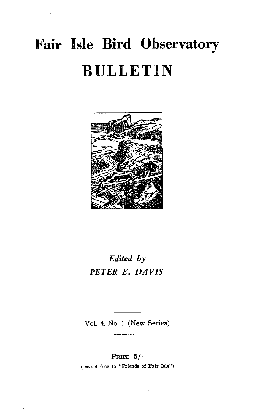# **Fair Isle Bird Observatory BULLETIN**



## *Edited by PETER E. DAVIS*

Vol. 4. No. 1 (New Series)

PRICE 5/- (Issued free to "Friends of Fair Isle")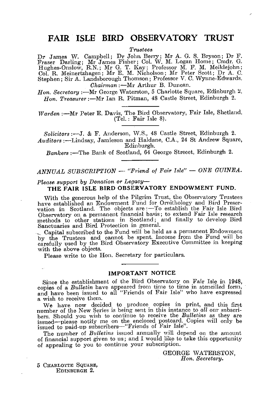## **FAIR ISLE BIRD OBSERVATORY TRUST**

*Trustees.* 

Dr James W. Campbell; Dr John Berry; Mr A. G. S. Bryson; Dr F.<br>Fraser Darling; Mr James Fisher; Col. W. M. Logan Home; Cmdr. G.<br>Hughes-Onslow, R.N.; Mr G. T. Kay; Professor M. F. M. Meiklejohn; Col. R. Meinertzhagen; Mr E. M. Nicholson; Mr Peter Scott; Dr A. C. Stephen; Sir A. Landsborough Thomson; Professor V. C. Wynne-Edwards. *Chairman* :- Mr Arthur B. Duncan.

*Hon. Secretary* :- Mr George Waterston, 5 Charlotte Square, Edinburgh 2. *Hon. Treasurer* :- Mr Ian R. Pitman, 48 Castle Street, Edinburgh 2.

*Warden* :- Mr Peter E. Davis, The Bird Observatory, Fair Isle, Shetland. (Tel.: Fair Isle 8).

*Solicitors* :-J. & F. Anderson, W'.S., 48 Castle Street, Edinburgh 2. Auditors :- Lindsay, Jamieson and Haldane, C.A., 24 St Andrew Square, Edinburgh.

*Bankers* :-The Bank of Scotland, 64 George Streeet, Edinburgh 2.

#### *ANNUAL SUBSCRIPTION* -- "Friend of Fair Isle" -- ONE GUINEA.

#### *Please support by Donation or Legacy-***THE FAIR ISLE BIRD OBSERVATORY ENDOWMENT FUND.**

With the generous help of the Pilgrim Trust, the Observatory Trustees have established an Endowment Fund for Ornithology and Bird Preser-<br>vation in Scotland. The objects are :—To establish the Fair Isle Bird Observatory on a permanent financial basis; to extend Fair Isle research methods to other stations in Scotland; and finally to develop Bird Sanctuaries and Bird Protection in general.

.~ Capital subscribed to the Fund will be held as a permanent Endowment by the Trustees and cannot be spent. Income from the Fund will be carefully used by the Bird Observatory Executive Committee in keeping with the above objects.

Please write to the Hon. Secretary for particulars.

#### **IMPORTANT NOTICE**

Since the establishment of the Bird Observatory on Fair Isle in 1948, copies of a *Bulletin* have appeared from time to time in stencilled form, and have been issued to all "Friends of Fair Isle" who have expressed a wish to receive them.

We have now decided to produce copies in print, and this first number of the New Series is being sent in this instance to *all* our subscribers. Should you wish to continue to receive the *Bulletins* as they are issued—please notify me on the enclosed postcard. Copies will only be issued to paid-up subscribers—"Friends of Fair Isle".

The number of *Bulletins* issued annually will depend on the amount of financial support given to us; and I would like to take this opportunitv of appealing to you to continue your subscription.

> GEORGE WATERSTON, Hon. Secretary.

5 CHARLOTTE SQUARE, EDINBURGH 2.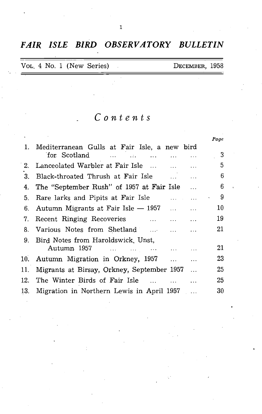*FAIR ISLE BIRD OBSERVATORY BULLETIN* 

|  | VOL. 4 No. 1 (New Series) | DECEMBER, 1958 |  |
|--|---------------------------|----------------|--|
|  |                           |                |  |

## *Contents*

|    |                                                                                        |                      | Page |
|----|----------------------------------------------------------------------------------------|----------------------|------|
|    | 1. Mediterranean Gulls at Fair Isle, a new bird<br>for Scotland                        | $\sim$ $\sim$ $\sim$ | - 3  |
| 2. | Lanceolated Warbler at Fair Isle                                                       |                      | 5    |
| 3. | Black-throated Thrush at Fair Isle<br>$\sim 100$                                       |                      | 6    |
| 4. | The "September Rush" of 1957 at Fair Isle                                              |                      | 6    |
|    | 5. Rare larks and Pipits at Fair Isle<br>and the same of                               | $\bullet$            | - 9  |
|    | 6. Autumn Migrants at Fair Isle $-$ 1957<br>$\mathbf{1}$ , $\mathbf{1}$ , $\mathbf{1}$ | $\ddotsc$            | 10   |
|    | 7. Recent Ringing Recoveries                                                           |                      | 19   |
|    | 8. Various Notes from Shetland                                                         | $\ddotsc$            | 21   |
|    | 9. Bird Notes from Haroldswick, Unst,                                                  |                      |      |
|    | Autumn 1957                                                                            |                      | 21   |
|    | 10. Autumn Migration in Orkney, 1957                                                   | $\ddotsc$            | 23   |
|    | 11.  Migrants at Birsay, Orkney, September 1957                                        | $\ldots$             | 25   |
|    | 12. The Winter Birds of Fair Isle  .                                                   |                      | 25   |
|    | 13. Migration in Northern Lewis in April 1957                                          |                      | 30   |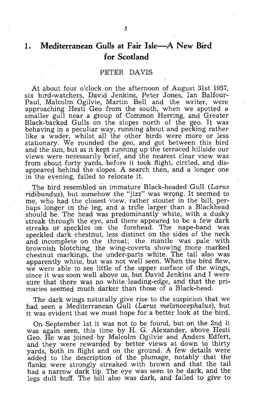## 1. **Mediterranean Gulls at Fair Isle-A New Bird for Scotland**

#### PETER DAVIS

At about four o'clock on the afternoon of August 31st 1957, six bird-watchers, David Jenkins, Peter Jones, Ian Balfour-Paul, Malcolm Ogilvie, Martin Bell and the writer, were approaching Hesti Geo from the south, when we spotted a smaller gull near a group of Common Herring, and Greater Black-backed Gulls on the slopes north of the geo. It was behaving in a peculiar way, running about and pecking rather like a wader, whilst all the other birds were more or less stationary. We rounded the geo, and got 'between this bird and the sun, but as it kept running up the terraced hillside our views were necessarily brief, and the nearest clear view was from about forty yards, before it took flight, circled, and disappeared behind the slopes. A search then, and a longer one in the evening, failed to relocate it.

The bird resembled an immature Black-headed Gull *(Larus* ridibundus), but somehow the "jizz" was wrong. It seemed to me, who had the closest view, rather stouter in the bill, perhaps longer in the leg, and a trifle larger than a Blackhead<br>should be. The head was predominantly white, with a dusky streak through the eye, and there appeared to be a few dark streaks or speckles on the forehead. The nape-band was speckled dark chestnut, less distinct on the sides of the neck and incomplete on the throat; the mantle was pale with brownish blotching, the wing-coverts showing more marked chestnut markings, the under-parts white. The tail also was apparently white, but was not well seen. When the bird flew, we were able to see little of the upper surface of the wings, since it was soon well above us, but David Jenkins and I were sure that there was no white leading-edge, and that the primaries seemed much darker than those of a Black-head.

The dark wings naturally give rise to the suspicion that we had seen a Mediterranean Gull *(Larus melanocephalus),* but it was evident that we must hope for a better look at the bird.

On September 1st it was not to be found, but on the 2nd it was again seen, this time by H. G. Alexander, above Hesti Geo. He was joined by Malcolm Ogilvie and Anders Edfert, and they were rewarded by better views at down to thirty yards, both in flight and on the ground. A few details were added to the description of the plumage, notably that the flanks were strongly streaked with brown and that the tail had a narrow dark tip. The eye was seen to be dark, and the legs dull buff. The bill also was dark, and failed to give to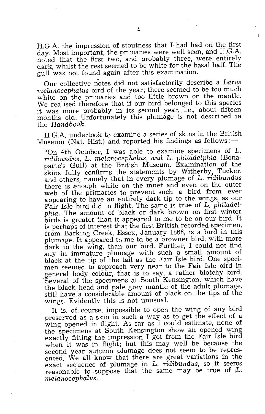H.G.A. the impression of stoutness that I had had on the first day. Most important, the primaries were well seen, and H.G.A. noted that the first two, and probably three, were entirely dark, whilst the rest seemed to be white for the basal half. The gull was not found again after this examination.

Our collective notes did not satisfactorily describe a Larus *rnelanocephalus* bird of the year; there seemed to be too much white on the primaries and too little brown on the mantle. We realised therefore that if our bird belonged to this species it was more probably in its second year, i.e., about fifteen months old. Unfortunately this plumage is not described in the *Handbook* 

H.G.A. undertook to examine a series of skins in the British Museum (Nat. Hist.) and reported his findings as follows: $-$ 

"On 4th October, I was able to examine specimens of  $L$ . *ridibundus,* L. *melanocephalus, and* L. *philadelphia* (Bonaparte's Gull) at the British Museum. Examination of the skins fully confirms the statements by Witherby, Tucker, and others, namely that in every plumage of L. *ridibundus*  there is enough white on the inner and even on the outer web of the primaries to prevent such a bird from ever appearing to have an entirely dark tip to the wings, as our Fair Isle bird did in flight. The same is true of L. *phiLadelphia.* The amount of black or dark brown on first winter birds is greater than it appeared to me to be on our bird. It is perhaps of interest that the first British recorded specimen, from Barking Creek, Essex, January 1866, is a bird in this plumage. It appeared to me to be a browner bird, with more dark in the wing, than our bird. Further, I could not find any in immature plumage with such a small amount of black at the tip of the tail as the Fair Isle bird. One specimen seemed to approach very near to the Fair Isle bird in general body colour, that is to say, a rather blotchy bird. 'Several of the specimens at South Kensington, which have the black head and pale grey mantle of the adult plumage, still have a considerable amount of black on the tips of the wings. Evidently this is not unusual.

It is, of course, impossible to open the wing of any bird preserved as a skin in such a way as to get the effect of a wing opened in flight. As far as I could estimate, none of the specimens at South Kensington show an opened wing exactly fitting the impression I got from the Fair Isle bird when it was in flight; but this may well be because the second year autumn plumage does not seem to be represented. We all know that there are great variations in the exact sequence of plumage *jn* L. *ridibundus,* so it seems reasonable to suppose that the same may be true of  $L$ . *melanocephalus.*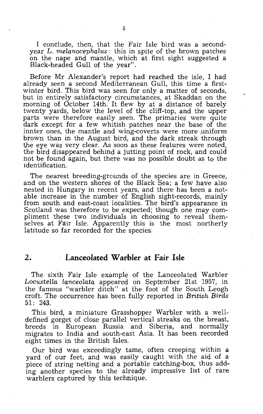I conclude, then, that the Fair Isle bird was a secondyear L. *melanocephalus:* this in spite of the brown patches on the nape and mantle, which at first sight suggested a Black-headed Gull of the year".

Before Mr Alexander's report had reached the isle, I had already seen a second Mediterranean Gull, this time a firstwinter bird. This bird was seen for only a matter of seconds, but in entirely satisfactory circumstances, at Skaddan on the morning of October 14th. It flew by at a distance of barely twenty yards, below the level of the cliff-top, and the upper parts were therefore easily seen. The primaries were quite dark except for a few whitish patches near the base of the innter ones, the mantle and wing-coverts were more uniform brown than in the August bird, and the dark streak through the eye was very clear. As soon as these features were noted, the bird disappeared behind a jutting point of rock, and could not be found again, but there was no possible doubt as to the identification. .

The nearest breeding-grounds of the species are in Greece, and on the western shores of the Black Sea; a few have also nested in Hungary in recent years, and there has been a notable increase in the number of English sight-records, mainly from south and east-coast localities. The bird's appearance in Scotland was therefore to be expected; though one may compliment these two individuals in choosing to reveal themselves at Fair Isle. Apparently this is the most northerly latitude so far recorded for the species.

## **2. Lanceolated Warbler at Fair Isle**

The sixth Fair Isle example of the Lanceolated Warbler *Locustella lanceolata* appeared on September 21st 1957, in the famous "warbler ditch" at the foot of the South Leogh croft. The occurrence has been fully reported in *British Birds*  51: 243.

This bird, a miniature Grasshopper Warbler with a welldefined gorget of close parallel vertical streaks on the breast, breeds in European Russia and Siberia, and normally migrates to India and south-east Asia; It has been recorded eight times in the British Isles.

Our bird was exceedingly tame, often creeping within a yard of our feet, and was easily caught with the aid of a piece of string netting and a portable catching-box, thus adding another species to the already impressive list of rare warblers captured by this technique.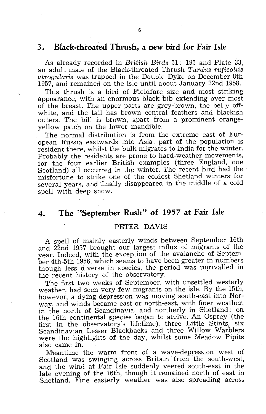## **3. Black-throated Thrush, a new bird for Fair Isle**

As already recorded in *British Birds* 51: 195 and Plate 33, an adult male of the Black-throated Thrush *Turdus ruficoLlis atrogularis* was trapped in the Double Dyke on December 8th 1957, and remained on the isle until about January 22nd 1958.

This thrush is a bird of Fieldfare size and most striking appearance, with an enormous black bib extending over most of the breast. The upper parts are grey-brown, the belly offwhite, and the tail has brown central feathers and blackish outers. The bill is brown, apart from a prominent orangeyellow patch on the lower mandible.

The normal distribution is from the extreme east of European Russia eastwards into Asia; part of the .population is resident there, whilst the bulk migrates to India for the winter. Probably the residents are prone to hard-weather movements, for the four earlier British examples (three England, one Scotland) all occurred in the winter. The recent bird had the misfortune to strike one of the coldest Shetland winters for several years, and finally disappeared in the middle of a cold spell with deep snow.

## 4. The "September Rush" of 1957 at Fair Isle

#### PETER DAVIS

A spell of mainly easterly winds between September 16th and 22nd 1957 brought our largest influx of migrants of the year. Indeed, with the exception of the avalanche of September 4th-5th 1956, which seems to have been greater in numbers though less diverse in species, the period was unrivalled in the recent history of the observatory.

The first two weeks of September, with unsettled westerly weather, had seen very few migrants on the isle. By the 15th, however, a dying depression was moving south-east into Norway, and winds became east or north-east, with finer weather, in the north of Scandinavia, and northerly in Shetland: on the 16th continental species began to arrive. An Osprey (the first in the observatory's lifetime), three Little Stints, six Scandinavian Lesser Blackbacks and three Willow Warblers were the highlights of the day, whilst some Meadow Pipits also came in.

Meantime the warm front of a wave-depression west of Scotland was swinging across Britain from the south-west, and the wind at Fair Isle suddenly veered south-east in the late evening of the 16th, though it remained north of east in Shetland. Fine easterly weather was also spreading across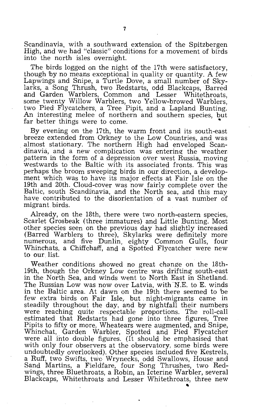Scandinavia, with a southward extension of the Spitzbergen High, and we had "classic" conditions for a movement of birds into the north isles overnight.

The birds logged on the night of the 17th were satisfactory, though by no means exceptional in quality or quantity. A few Lapwings and Snipe, a Turtle Dove, a small number of Skylarks, a Song Thrush, two Redstarts, odd Blackcaps, Barred and Garden Warblers, Common and Lesser Whitethroats, some twenty Willow Warblers, two Yellow-browed Warblers, two Pied Flycatchers, a Tree Pipit, and a Lapland Bunting. An interesting melee of northern and southern species, but far better things were to come.

By evening on the 17th, the warm front and its south-east breeze extended from Orkney to the Low Countries, and was almost stationary. The northern High had enveloped Scandinavia, and a new complication was entering the weather pattern in the form of a depression over west Russia, moving westwards to the Baltic with its associated fronts. This was perhaps the broom sweeping birds in our direction, a development which was to have its major effects at Fair Isle on the 19th and 20th. Cloud-cover was now fairly complete over the Baltic, south Scandinavia, and the North sea, and this may have contributed to the disorientation of a vast number of migrant birds.

Already, on the 18th, there were two north-eastern species, Scarlet Grosbeak (three immatures) and Little Bunting. Most other species seen on the previous day had slightly increased (Barred Warblers to three), Skylarks were definitely more numerous, and five Dunlin, eighty Common Gulls, folir Whinchats, a Chiffchaff, and a Spotted Flycatcher were new to our. list.

Weather conditions showed no great change on the 18th-19th, though the Orkney Low centre was drifting south-east in the North Sea, and winds went to North East in Shetland. The Russian Low was now over Latvia, with N.E. to E. winds in the Baltic area. At dawn on the 19th there seemed to be few extra birds on Fair Isle, but. night-migrants came in steadily throughout the day, and by nightfall their numbers were reaching quite respectable proportions. The roll-call estimated that Redstarts had gone into three figures, Tree Pipits to fifty or more, Wheatears were augmented, and Snipe, Whinchat, Garden Warbler, Spotted and Pied Flycatcher were all into double figures. (It should be emphasised that with only four observers at the observatory, some birds were undoubtedly overlooked). Other species included five Kestrels, a Ruff, two Swifts, two Wrynecks, odd Swallows, House and Sand Martins, a Fieldfare, four Song Thrushes, two Redwings, three Bluethroats, a Robin, an Icterine Warbler, several Blackcaps, Whitethroats and Lesser Whitethroats, three new

"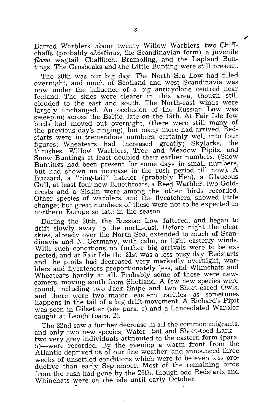Barred Warblers, about twenty Willow Warblers, two Chiffchaffs (probably *abietinus*, the Scandinavian form), a juvenile *flava* wagtail, Chaffinch, Brambling, and the Lapland Buntings. The Grosbeaks and the Little Bunting were still present.

The 20th was our big day. The North Sea Low had filled overnight, and much of Scotland and west Scandinavia was now under the influence of a big anticyclone centred near Iceland. The skies were clearer in this area, though still clouded to the east and south. The North-east winds were largely unchanged. An occlusion of the Russian Low was sweeping across the Baltic, late on the 19th. At Fair Isle few birds had moved out overnight, (there were still many of the previous day's ringing), but many more had arrived. Redstarts were in tremendous numbers, certainly well into four figures; Wheatears had increased greatly; Skylarks, the thrushes, Willow Warblers, Tree and Meadow Pipits, and Snow Buntings at least doubled their earlier numbers. (Snow Buntings had been present for some days in small numbers, but had shown no increase in the rush period till now). A Buzzard, a "ring-tail" harrier (probably Hen), a Glaucous Gull, at least four new Bluethroats, a Reed Warbler, two Goldcrests and a Siskin were among the other birds recorded. Other species of warblers. and the flycatchers, showed little change; but great numbers of these were not to be expected in northern Europe so late in the season.

During the 20th, the Russian Low faltered, and began to drift slowly away to the north-east. Before night the clear skies, already over the North Sea, extended to much of Scandinavia and N. Germany, with calm, or light easterly winds. With such conditions no further big arrivals were to be expected, and at Fair Isle the 21st was a less busy day. Redstarts and the pipits had decreased very markedly overnight, warblers and flycatchers proportionately less, and Whinchats and Wheatears hardly at all. Probably some of these were newcomers, moving south from Shetland. A few new species were found, including two Jack Snipe and two Short-eared Owls, and there were two major eastern rarities-as sometimes happens in the tail of a big drift-movement. A Richard's Pipit was seen in Gilsetter (see para. 5) and a Lanceolated Warbler caught at Leogh (para. 2).

The 22nd saw a further decrease in all the common migrants, and only two new species. Water Rail and Short-toed Larktwo very grey individuals attributed to the eastern form (para. 5)-were recorded. By the evening a warm front from the Atlantic deprived us of our fine weather, and announced three weeks of unsettled conditions which were to be even less productive than early September. Most of the remaining birds from the rush had gone by the 26th, though odd Redstarts and Whinchats were on the isle until early October.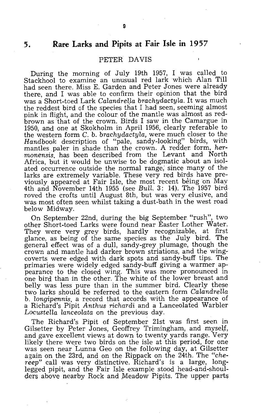## **5. Rare Larks and Pipits at Fair Isle in 1957**

#### PETER DAVIS

During the morning of July 19th 1957, I was called to Stackhool to examine an unusual red lark which Alan Till had seen there. Miss E. Garden and Peter Jones were already there, and I was able to confirm their opinion that the bird was a Short-toed Lark *Calandrella brachydactyla*. It was much the reddest bird of the species that I had seen, seeming almost pink in flight, and the colour of the mantle was almost as redbrown as that of the crown. Birds I saw in the Camargue in 1950, and one at Skokholm in April 1956, clearly referable to the western form C. b. *brachydactyla,* were much closer to the *Handbook* description of "pale, sandy-looking" birds, with mantles. paler in shade than the crown. A redder form, *hermonensis,* has been described from the Levant and North Africa, but it would be unwise to be dogmatic about an isolated occurrence outside the normal range; since many of the larks are extremely variable. These very red birds have previously appeared at Fair Isle, the most recent being on May 4th and November 14th 1955 (see *Bull.* 3: 14). The 1957 bird roved the crofts until August 8th, but was very elusive, and was most often seen whilst taking a dust~bath in the west road below Midway.

On September 22nd, during the big September. "rush", two other Short-toed Larks were found near Easter Lother Water. They were very grey birds, hardly recognizable, at first glance, as being of the same species as the July bird. The general effect was of a dull, sandy-grey plumage, though the crown and mantle had darker brown striations, and the wingcoverts were edged with dark spots and sandy-buff tips. The primaries were widely edged sandy-buff giving a warmer appearance to the closed wing. This was more pronounced in one bird than in the other. The white of the lower breast and belly was less pure than in the summer bird. Clearly these two larks should be refened to the eastern form *Calandrella*  b. *longipennis,* a record that accords with the appearance of a Richard's Pipit *Anthus richardi* and a Lanceolated Warbler *Locustella lanceolata* on the previous day.

The Richard's Pipit of September 21st was first seen in Gilsetter by Peter Jones, Geoffrey Trimingham, and myself, and gave excellent views at down to twenty yards range. Very likely there were two birds on the isle at this period, for one was seen near Lunna Geo on the following day, at Gilsetter again on the 23rd, and on the Rippack on the 24th. The *"chereep"* call was very distinctive. Richard's is a large, longlegged pipit, and the Fair Isle example stood head-and-shoulders above nearby Rock and Meadow Pipits, The upper parts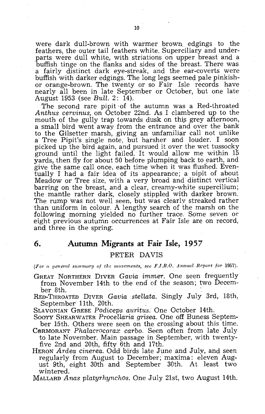were dark dull-brown with warmer brown, edgings to the feathers, the outer tail feathers white. Superciliary and underparts were dull white, with striations on upper breast and a buffish tinge on the flanks and sides of the breast. There was a fairly distinct dark eye-streak, and the ear-coverts were buffish with darker edgings. The long legs seemed pale pinkishor orange-brown. The twenty or so Fair Isle records have nearly all been in late September or October, but one late August 1953 (see *Bull.* 2: 14).

The second rare pipit of the autumn was a Red-throated *Anthus cervinus,* on October 22nd. As I clambered up to the mouth of the gully trap towards dusk on this grey afternoon, a small bird went away from the entrance and over the bank to the Gilsetter marsh, giving an unfamiliar call not unlike a' Tree Pipit's single note, but harsher and louder. I soon picked up the bird again, and pursued it over the wet tussocky ground until the light failed. It would allow me within 15 yards, then fly for about 50 before plumping back to earth, and give the same call once, each time when it was flushed. Eventually I had a fair idea of its appearance; a pipit of about Meadow or Tree size, with a very broad and distinct vertical barring on the breast, and a clear, creamy-white supercilium; the mantle rather dark, closely stippled with darker brown. The rump was not well seen, but was clearlv streaked rather than uniform in colour. A lengthy search of the marsh on the following morning yielded no further trace. Some seven or eight previous autumn occurrences at Fair Isle are on record, and three in the spring.

#### **6. Autumn Migrants at Fair Isle, 1957**

#### PETER DAVIS

*(For a general summary of the movements, see F.I.B.O. Annual Report for 1957).* 

- GREAT NORTHERN DIVER *Gavia immer.* One seen frequently from November 14th to the end' of the season; two December 8th.
- RED-THROATED DIVER *Gavia steUata.* Singly July 3rd, 18th, September 11th, 20th.

SLAVONIAN GREBE *Podiceps auritus.* One October 14th.

- SOOTY SHEAR WATER *Procellaria grisea.* One off Buness September 15th. Others were seen on the crossing about this time.
- CORMORANT *Phalacrocorax carbo*. Seen often from late July to late November. Main passage in September, with twentyfive  $2nd$  and  $20th$ , fifty 6th and 17th.
- HERON *Ardea cinerea.* Odd birds late June and July, and seen regularly from August to December; maxima: eleven August 9th, eight 30th and September 30th. At least two wintered.
- MALLARD *Anas platyrhynchos.* One July 21st, two August 14th.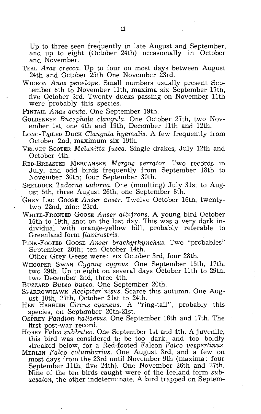Up to three seen frequently in late August and September, and up to eight (October 24th) occasionally in October and November.

- TEAL *Aras crecca.* Up to four on most days between August  $24th$  and October  $25th$  One November  $23rd$ .
- WIGEON *Anas peneLope.* Small numbers usually present September 8th to November 11th, maxima six September 17th, five October 3rd. Twenty ducks passing on November 11th were probably this species.
- PINTAIL *Anas acuta.* One September 19th.
- GOLDENEYE *BucephaLa cLangula.* One October 27th, two November 1st, one 4th and 19th, December 11th and 12th.
- LONG-TAILED DUCK *Clangula hyemalis*. A few frequently from October 2nd, maximum six 19th.
- VELVET SCOTER *Melanitta fusca.* Single drakes, July 12th and October 4th.
- RED-BREASTED MERGANSER *Mergus serrator.* Two records in July, and odd birds frequently from September 18th to November 30th; four September 30th.
- SHELDUCK *Tadorna tadorna.* One (moulting) July 31st to August 5th, three August 26th, one September 8th.
- 'GREY LAG GOOSE *Anser anser.* Twelve October 16th, twentytwo 22nd, nine 23rd.
- WHITE-FRONTED GOOSE *Anser albifrons.* A young bird October 16th to 19th, shot on the last day. This was a very dark individual with orange-yellow bill, probably referable to Greenland form *flavirostris.*
- PINK-FoOTED GOOSE *Anser brachyrhynchus.* Two "probables" September 20th; ten October 14th.

Other Grey Geese were: six October 3rd, four 28th.

- WHOOPER SWAN *Cygnus cygnus.* One September 15th, 17th, two 29th. Up to eight on several days October 11th to 29th, two December 2nd, three 4th.
- BUZZARD *Buteo buteo.* One September 20th.
- SPARROWHAWK *Accipiter nisus.* Scarce this autumn. One August 10th, 27th, October 21st to 24th.
- HEN HARRIER *Circus cyaneus.* A "ring-tail", probably this species, on September 20th-21st.
- OSPREY *Pandiorn haliaetus.* One September 16th and 17th. The first post-war record.
- HOBBY Falco subbuteo. One September 1st and 4th. A juvenile, this bird was considered to be too dark, and too boldly streaked below, for a Red-footed Falcon *Falco vespertinus*.
- MERLIN *FalcD columbarius.* One August 3rd, and a few on most days from the 23rd until November 9th (maxima: four September 11th, five 24th). One November 26th and 27th. Nine of the ten birds caught were of the Iceland form *subaesalon,* the other indeterminate. A bird trapped on Septem-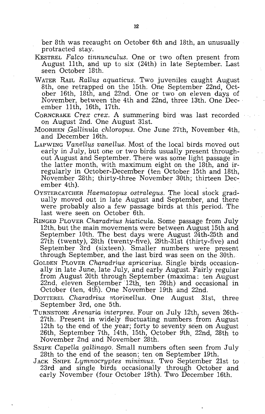ber 8th was recaught on October 6th and 18th, an unusually protracted stay.

- KESTREL *Falco tinnunculus.* One or two often present from August 11th, and up to six (24th) in late September:. Last seen October 18th.
- WATER RAIL *Rallus aquaticus.* Two juveniles caught August 8th, one retrapped on the 15th. One September 22nd, October 16th, 18th, and 22nd. One or two on eleven days of November, between the 4th and 22nd, three 13th. One December 11th, 16th, 17th.
- CORNCRAKE *Crex crex.* A summering bird was last recorded on August 2nd. One August 31st.
- MOORHEN *,G,allinula chloropus.* One June 27th, November 4th, and December 16th.
- LAPWING *Vanellus vanellus.* Most of the local birds moved out early in July, but one or two birds usually present throughout August and September. There was some light passage in the latter month; with maximum eight on the 18th, and irregularly in October-Decem'ber (ten October: 15th and 18th, November 28th; thirty-three November 30th; thirteen December 4th).
- OYSTERCATCHER *Haematopus ostralegus.* The local stock gradually moved out in late August and September, and there were probably also a few passage birds at this period. The last were seen on October 6th.
- RINGED PLOVER *Charadrius hiaticula.* Some passage from July 12th, but the main movements were between August 15th and September 10th. The best days were August 24th-25th and 27th (twenty), 28th (twenty-five), 29th-31st (thirty-five) and September 3rd (sixteen). Smaller numbers were present through September, and the last bird was seen on the 30th.
- GOLDEN PLOVER *Charadrius apricarius.* Single birds occasionally in late June, late July, and early August. Fairly regular from August 20th through September (maxima: ten August 22nd, eleven September 12th, ten 26th) and occasional in October (ten, 4th). One November 19th and 22nd.
- DOTTEREL *Charadrius morinellus.* One August 31st, three September 3rd, one 5th.
- TURNSTONE *Arenaria interpres.* Four on July 12th, seven 26th-27th. Present in widely fluctuating numbers from August 12th to the end of the year:; forty to seventy seen on August 26th, September 7th, 14th, 15th, October 9th, 22nd, 28th to November 2nd and November 28th.
- SNIPE *Capella gallinago.* Small numbers often seen from July 28th to the end of the season; ten on September 19th.
- JACK SNIPE *Lymnocryptes minimus.* Two September 21st to 23rd and single birds occasionally through October and early November (four October 19th). Two December 16th.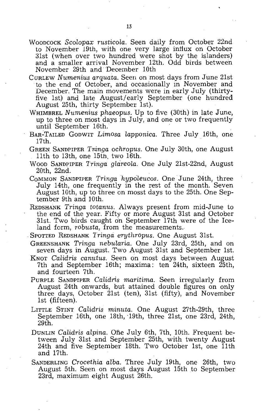- WOODCOCK *Scolopax rusticola.* Seen daily from October 22nd to November 19th, with one very large infiux on October 31st (when over two hundred were shot by the islanders) and a smaller arrival November 12th. Odd birds between November 29th and December 10th
- CURLEW *Numenius arquata.* Seen on most days from June 21st to the end of October, and occasionally in November and December. The main movements were in early July (thirtyfive 1st) and late August/early September (one hundred August 25th, thirty September 1st).
- WHIMBREL *Numenius phaeopus.* Up to five (30th) in late June, up to three on most days in July, and one or two frequently until September 16th.
- BAR~TAILED GODWIT *Limosa lapponica.* Three July 16th, one 17th.
- GREEN SANDPIPER *Tringa ochropus.* One July 30th, one August 11th to 13th, one 15th, two 16th.
- WOOD SANDPIPER *Tringa glcireola.* One July 21st-22nd, August 20th, 22nd.
- COMMON SANDPIPER *Tringa hypoleucos*. One June 24th, three July 14th, one frequently in the rest of the month. Seven August 10th, up to three on mosst days to the 25th. One September 9th and 10th.
- REDSHANK *Tringa totanus.* Always present from mid-June to the end of the year. Fifty or more August 31st and October 31st. Two birds caught on September 17th were of the Iceland form, *robusta,* from the measurements.
- SPOTTED REDSHANK *Tringa erythropus.* One August 31st.
- GREENSHANK *Tringa nebularia.* One July 23rd, 25th, and on seven days in August. Two August 31st and September 1st.
- KNOT *Calidris canutus.* Seen on most days between August 7th and September 16th; maxima: ten 24th, sixteen 25th, and fourteen 7th.
- PURPLE SANDPIPER *Calidris maritima.* Seen irregularly from August 24th onwards, but attained double figures on only three days, October 21st (ten), 31st (fifty), and November 1st (fifteen).
- LITTLE STINT *Calidris minuta*. One August 27th-29th, three September 16th, one 18th, '19th, three 21st, one 23rd, 24th, 29th,
- DUNLIN *Calidris alpina.* One July 6th, 7th, 10th. Frequent between July 31st and September 25th, with twenty August 24th and five September 18th. Two October 1st, one 11th and 17th,
- SANDERLING *Crocethia alba.* Three July 19th, one 26th, two August 5th. Seen on most days August 15th to September 23rd, maximum eight August 26th.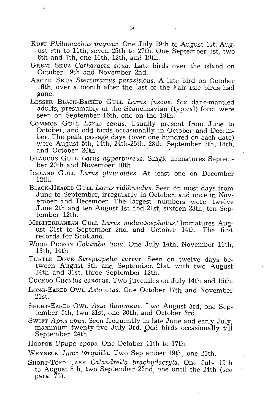- RUFF *Philomachus pugnax.* One July 29th to August 1st, August 9th to 11th, seven 25th to 27th. One September 1st, two 6th and 7th, one 10th, 12th, and 19th.
- GREAT SKUA *Catharacta skua*. Late birds over the island on October 19th and November 2nd:
- ARCTIC SKUA *Stercorarius parasiticus.* A late bird on October 16th, over a month after the last of the Fair Isle birds had gone.
- LESSER BLACK-BACKED GULL *Larus fuscus.* Six dark-mantled adults, presumably of the Scandinavian (typical) form were seen on September 16th, one on the 19th.
- COMMON GULL *Larus canus.* Usually present from June to October, and odd birds occasionally in October and December. The peak passage days (over one hundred on each date) were August 5th, 14th, 24th-25th, 28th, September 7th, 18th, and October 20th.
- GLAUCUS GULL *Larus hyperboreus.* Single immatures September 20th and November 10th.
- ICELAND GULL *Larus glaucoides.* At least one on December 12th.
- BLACK-HEADED GULL *Larus ridibundus.* Seen on most days from June to September, irregularly in October, and once in November and December. The largest numbers were twelve June 2th and ten August 1st and 21st, sixteen 28th, ten September 12th.
- MEDITERRANEAN GULL *Larus melanocephalus*. Immatures August 31st to September 2nd, and October 14th. The first records for Scotland.
- WOOD PIGEON *Columba livia.* One July 14th, November 11th, 13th, 14th.
- TURTLE DOVE *Streptopelia turtur.* Seen on twelve days between August 9th and September 21st, with two August 24th and 31st, three September 12th.
- CUCKOO *Cuculus canorus.* Two juveniles on July 14th and 15th.
- LONG-EARED OWL *Asiootus.* One October 17th and November 21st.
- SHORT-EARED OWL *Asio flammeus.* Two August 3rd, one September 5th, two 21st, one 30th, and October 3rd.
- SWIFT *Apus apus.* Seen frequently in late June and early July, maximum twenty-five July 3rd. Odd birds occasionally till September 24th.
- Hoopoe *Upupa epops.* One October 11th to 17th.

WRYNECK *Jynx torquiIIa.* Two September 19th, one 20th.

SHORT-ToED LARK *CalandreHa brachydactyla.* One July 19th to August 8th, two September 22nd, one until the 24th (see para. 75).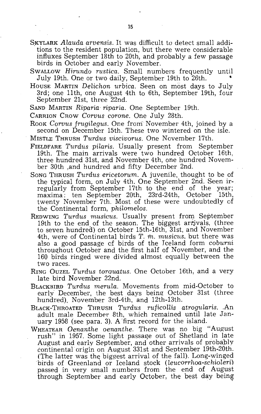- SKYLARK *Alauda arvensis*. It was difficult to detect small additions to the resident population, but there were considerable influxes September 18th to 20th, and probably a few passage birds in October and early November.
- SWALLOW *Hirundo rustica*. Small numbers frequently until July 19th. One or two daily, September 19th to 26th. •
- House MARTIN *Delichon urbica*. Seen on most days to July 3rd; one 11th, one August 4th to 6th, September 19th, four September 21st, three 22nd.
- SAND MARTIN *Riparia riparia.* One September 19th.
- CARRION CROW *Corvus corone.* One July 28th.
- Rook *Corvus frugilegus*. One from November 4th, joined by a second on December 15th. These two wintered on the isle.
- MISTLE THRUSH *Turdus viscivorus.* One November 17th.
- FIELDFARE *Turdus pilaris.* Usually present from September 19th. The main arrivals were two hundred October 16th, three hundred 31st, and November 4th, one hundred November 30th ,and hundred and fifty December 2nd.
- SONG THRUSH *Turdus ericetorum.* A juvenile, thought to be of the typical form, on July 4th. One September 2nd. Seen irregularly from September 17th to the end of the year; maxima: ten September 20th, 23rd-24th, October 15th, twenty November 7th. Most of these were undoubtedly of the Continental form, *philomelos.*
- REDWING *Turdus musicus*. Usually present from September 19th to the end of the season. The biggest arrivals, (three to seven hundred) on October 15th-16th, 31st, and November 4th, were of Continental birds T. m. *musicus,* but there was also a good passage of birds of the Iceland form *coburni* throughout October and the first half of November, and the 160 birds ringed were divided almost equally between the two races.
- RING OUZEL *Turdus torquatus.* One October 16th, and a very late bird November 22nd.
- BLACKBIRD *Turdus merula.* Movements from mid-October to early December, the best days being October 31st (three hundred), November 3rd-4th, and 12th-13th.
- BLACK-THROATED THRUSH *Turdus ruficoUis atrogularis .* .An adult male December 8th, which remained until late January 1958 (see para. 3). A 'first record for the island.
- WHEATEAR *Oenanthe oenanthe.* There was no big "August rush" in 1957. Some light passage out of Shetland in late August and early September, and other arrivals of probably continental origin on August 331st and September 19th-20th. (The latter was the biggest arrival of the fall). Long-winged birds of Greenland or Iceland stock *(leucorrhoa-schioleri)*  passed in very small numbers from the end of August through September and early October, the best day being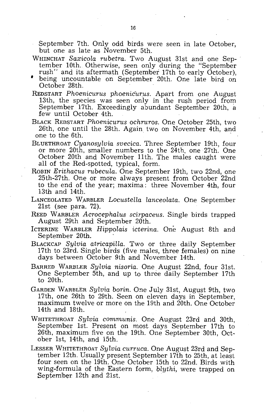September 7th. Only odd birds were seen in late October, but one as late as November 5th.

- WHINCHAT *Saxicola rubetra*. Two August 31st and one September 10th. Otherwise, seen only during the "September" rush" and its aftermath (September 17th to early October),
- being uncountable on September 20th. One late bird on October 28th.
- REDSTART *Phoenicurus phoeniCurus.* Apart from one August 13th, the species was seen only in the rush period from September 17th. Exceedingly abundant September 20th, a few until October 4th.
- BLACK REDSTART *Phoenicurus ochruros.* One October 25th, two 26th, one until the 28th. Again two on November 4th, and one to the 6th.
- BLUETHROAT *Cyanosylvia svecica.* Three September 19th, four or more 20th, smaller numbers to the 24th, one 27th. One October 20th and November 11th. The males caught were all of the Red-spotted, typical, form.
- ROBIN *Erithacus rubecula.* One September 19th, two 22nd, one 25th-27th. One or more always present from October 22nd to the end of the year; maxima : three November 4th, four 13th and 14th.
- LANCEOLATED W.ARBLER *Locustella lanceolata.* One September 21st (see para. 72).
- REED WARBLER *Acrocephalus scirpaceus*. Single birds trapped August 29th and September 20th.
- ICTERINE WARBLER *Hippolais icterina.* One August 8th and September 20th.
- BLACKCAP *Sylvia atricapilla.* Two or three daily September 17th to 23rd. Single birds (five males, three females) on nine days between October 9th and November 14th.
- BARRED WARBLER *Sylvia nisoria.* One August 22nd, four 31st. One September 5th, and up to three daily September 17th to 20th.
- GARDEN WARBLER *Sylvia borin.* One JUly 31st, August 9th, two 17th, one 26th to 29th. Seen on eleven days in September, maximum twelve or more on the 19th and 20th. One October 14th and 18th.
- WHITE THROAT *Sylvia communis.* One August 23rd and 30th, September 1st. Present on most days September 17th to 26th, maximum five on the 19th. One September 30th, October 1st, 14th, and 15th.
- LESSER WHITETHROAT *Sylvia curruca.* One August 23rd and September 12th. Usually present September 17th to 25th, at least four seen on the 19th. One October 15th to 22nd. Birds with wing-formula of the Eastern form, *blythi,* were trapped on September 12th and 21st.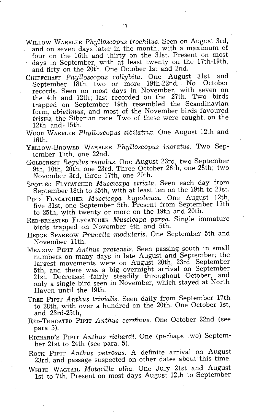- WILLOW WARBLER *PhylloscopuS trochilus.* Seen on August 3rd, and on seven days later in the month, with a maximum of four on the 16th and thirty on the 31st. Present on most days in September, with at least twenty on the 17th-19th, and fifty on the 20th. One October 1st and 2nd.
- CHIFFCHAFF *Phylloscopus collybita.* One August 31st and September 18th, two or more 19th-22nd. No October records. Seen on most days in November, with seven on the 4th and 12th; last recorded on the 27th. Two birds trapped on September 19th resembled the Scandinavian *form,abietimus,* and most of the November birds favoured *tristis,* the Siberian race. Two of these were caught, on the 12th and 15th.
- WOOD WARBLER *Phylloscopus sibilatrix.* One August 12th and 16th.
- YELLOW-BROWED WARBLER *Phylloscopus inoratus*. Two September 17th, one 22nd.
- GOLDCREST *Regulus·regulus.* One August 23rd, two September 9th, 10th, 20th, one 23rd. Three October 26th, one 28th; two November 3rd, three 17th, one 20th.
- SPOTTED FLYCATCHER *Muscicapa striata*. Seen each day from September 18th to 25th, with at least ten on the 19th to 21st.
- PIED FLYCATCHER *Muscicapa hypoleuca.* One August 12th, five 31st, one September 5th. Present from September 17th to 25th, with twenty or more on the 19th and 20th.
- RED-BREASTED FLYCATCHER *Muscicapa parva.* Single immature birds trapped on November 4th and 5th.
- HEDGE SPARROW *Prunella modularis.* One September 5th and November 11th.
- MEADOW PIPIT *Anthus pratensis.* Seen passing south in small numbers on many days in late August and September; the largest movements were on August 20th, 23rd, September 5th, and there was a big overnight arrival on September 21st. Decreased fairly steadily throughout October, and only a single bird seen in November, which stayed at North Haven until the 19th.
- TREE PIPIT *Anthus trivialis.* Seen daily from September 17th to 28th, with over a hundred on the 20th. One October 1st, and 23rd-25th:
- REo-THROATED PIPIT *Anthus cenfinus.* One October 22nd (see para 5).
- RICHARD'S PIPIT *Anthus richardi.* One (perhaps two) September 21st to 24th (see para. 5).
- ROCK PIPIT *Anthus petrosus.* A definite arrival on August 23rd, and passage suspected on other dates about this time.
- WHITE WAGTAIL *Motacilla alba.* One July 21st and August 1st to 7th. Present on most days August 12th to September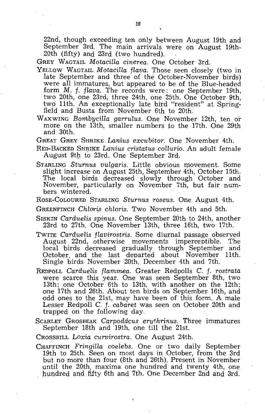22nd, though exceeding ten only between August 19th and September 3rd. The main arrivals were on August 19th-20th (fifty) and 23rd (two hundred).

GREY WAGTAIL *Motacilla cinerea.* One October 3rd.

- YELLOW WAGTAIL *Motacilla flava.* Those seen closely (two in late September and three of the October-November birds) were all immatures, but appeared to be of the Blue-headed form M. f. *flava.* The records were: one September 19th, two 20th, one 23rd, three 24th, one 25th. One October 9th, two 11th. An exceptionally late bird "resident" at Springfield and Busta from November 6th to 20th.
- WAXWING *Bombycilla garrulus.* One November 12th, ten or more on the 13th, smaller numbers to the 17th. One 29th and 30th.

GREAT GREY SHRIKE *Lanius excubitor.* One November 4th.

- RED-BACKED SHRIKE *Lanius cristatus collurio.* An adult female August 9th to 23rd. One September 3rd.
- STARLING Sturnus vulgaris. Little obvious movement. Some slight increase on August 25th, September 4th, October 15th. The local birds decreased slowly through October and November, particularly on November 7th, but fair numbers wintered.
- ROSE-COLOURED STARLING *Sturnus roseus.* One August 4th.

GREENFINCH Chloris *chloris*. Two November 4th and 5th.

- SISKIN *Carduelis spinus.* One September 20th to 24th, another 23rd to 27th. One November 13th, three 16th, two 17th.
- TWITE *Carduelis flavirostris.* Some diurnal passage observed August 22nd, otherwise movements imperceptible. The local birds decreased gradually through September and October, and the last departed about November 11th. Single birds November 20th, December 4th and 7th.
- REDPOLL *Carduelis flam.m.ea.* Greater Redpolls C. f. *rostrata*  were scarce this year. One was seen September 8th, two 13th; one October 6th to 13th, with another on the 12th; one 17th and 26th. About ten birds on September 16th, and odd ones to the 21st, may have been of this form. A male Lesser Redpoll C. f. *cabaret* was seen on October 20th and trapped on the following day.
- SCARLET GROSBEAK *Carpoddcus eruthrinus.* Three immatures September 18th and 19th, one till the 21st.

CROSSBILL *Loxia curvirostra.* One August 24th.

CHAFFINCH *Fringilla coelebs.* One or two daily September 19th to 25th. Seen on most days in October, from the 3rd but no more than four (8th and 26th). Present in November until the 20th. maxima one hundred and twenty 4th, one hundred and fifty 6th and 7th. One December 2nd and 3rd.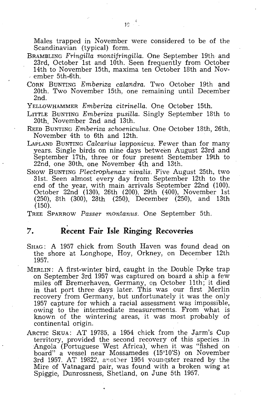Males trapped in November were considered to be of the Scandinavian (typical) form.

- BRAMBLING *Fringilla montifringilla.* One September 19th and 23rd, October 1st and 10th. Seen frequently from October 14th to November 15th, maxima ten October 18th and Nov-<br>, ember 5th-6th.
- CORN BUNTING *Emberiza calandra.* Two October 19th and 20th. Two November 15th, one remaining until December 2nd.
- YELLOWHAMMER *Emberiza citrinella*. One October 15th.
- LITTLE BUNTING *Emberiza pusiLl.a.* Singly September 18th to 20th, November 2nd and 13th.
- REED BUNTING *Emberiza schoeniculus.* One October 18th, 26th, November 4th to 6th and 12th.
- LAPLAND BUNTING *Calcarius lapponicus.* Fewer than for many years. Single birds on nine days between August 23rd and September 17th, three or four present September 19th to 22nd, one 30th, one November 4th and 13th.
- SNOW BUNTING *Plectrophenax nivalis.* Five August 25th, two 31st. Seen almost every day from September 12th to the end of the year, with main arrivals September 22nd (100). October 22nd (130), 26th (200). 29th (400), November 1st (250), 8th (300), 28th (250), December (250), and 13th (150).

TREE SPARROW *Passer montanus.* One September 5th.

#### **7. Recent Fair Isle Ringing Recoveries**

- SHAG: A 1957 chick from South Haven was found dead on the shore at Longhope, Hoy, Orkney, on December 12th 1957.
- MERLIN: A first-winter bird, caught in the Doubie Dyke trap on September 3rd 1957 was captured on board a ship a few miles off Bremerhaven, Germany, on October 11th; it died in that port three days later. This was our first Merlin recovery from Germany, but unfortunately it was the only 1957 capture for which a racial assessment was impossible, owing to the intermediate measurements. From what is known of the wintering areas, it was most probably of continental origin.
- ARCTIC SKUA: AT 19785, a 1954 chick from the Jarm's Cup territory, provided the second recovery of this species .in Angola (Portuguese West Africa), when it was "fished on board" a vessel near Mossamedes (15°10'S) on November 3rd 1957. AT 19822, another 1954 youngster reared by the Mire of Vatnagard pair, was found with a broken wing at Spiggie, Dunrossness, Shetland, on June 5th 1957.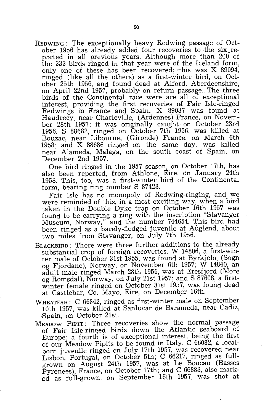REDWING: The exceptionally heavy Redwing passage of October 1956 has already added four recoveries to the six reported in all previous years. Although more than 200 of the 333 birds ringed in that year were of the Iceland form, only one of these has been recovered; this was  $X$  89094, ringed (like all the others) as a first-winter bird, on October 25th 1956, and found dead at Alford, Aberdeenshire, on April 22nd 1957, probably on return passage. The three birds of the Continental race were are all of exceptional interest, providing the first recoveries of Fair Isle-ringed Redwings in France and Spain. X 89037 was found at Haudrecy, near Charleville, (Ardennes) France, on November 28th 1957; it was originally caught on October 23rd 1956. S 88682, ringed on October 7th 1956, was killed at Bouzac, near Libourne, (Gironde) France, on March 6th 1958; and X 88686 ringed on the same day, was killed near Alameda, Malaga, on the south coast of Spain, on December 2nd 1957.

One bird ringed in the 1957 season, on October 17th, has also been reported, from Athlone, Eire, on January 24th 1958. This, too, was a first-winter bird of the Continental form, bearing ring number S 87423.

Fair Isle has no monopoly of Redwing-ringing, and we were reminded of this, in a most exciting way, when a bird taken in the Double Dyke trap on October 16th 1957 was found to be carrying a ring with the inscription "Stavanger Museum, Norway," and the number 744654. This bird had been ringed as a barely-fledged juvenile at Auglend, about two miles from Stavanger, on July 7th 1956.

- BLACKBIRD: There were three further additions to the already substantial crop of foreign recoveries. W 14806, a first-winter male of October 31st 1955, was found at Byrkjelo, (Sogn og Fjordane), Norway, on November 6th 1957; W 14840, an adult male ringed March' 28th 1956, was at Eresfjord (More og Romsdal), Norway, on July 21st 1957; and S 87608, a firstwinter female ringed on October 31st 1957, was found dead at Castlebar, Co. Mayo, Eire, on December 16th.
- WHEATEAR: C 66842, ringed as first-winter male on September 10th 1957, was killed at Sanlucar de Barameda, near Cadiz, ·Spain, on October 21st
- MEADOW PIPIT: Three recoveries show the normal passage of Fair Isle-ringed birds down the Atlantic seaboard of Europe; a fourth is of exceptional interest, being the first of our Meadow Pipits to be found in Italy. C 66082, a localborn juvenile ringed on July 17th 1957, was recovered near Lisbon, Portugal, on October 5th; C 66217, ringed as fullgrown on August 24th 1957, was at Le Boucau (Basses Pyrenees), France, on October 17th; and C 66883, also marked as full-grown, on September 16th 1957, was shot at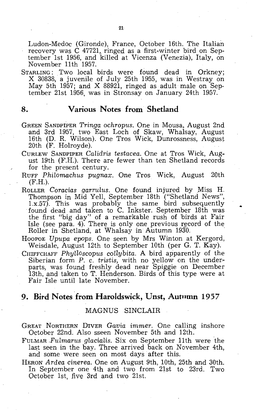Ludon-Medoc (Gironde), France, October 16th. The Italian recovery was C 47721, ringed as a first-winter bird on September 1st 1956, and killed at Vicenza (Venezia), Italy, on November 11th 1957.

STARLING: Two local birds were found dead in Orkney; X 30838, a juvenile of July 25th 1955, was in Westray on May 5th 1957; and X 88921, ringed as adult male on September 21st 1956, was in Stronsay on January 24th 1957.

#### **8. Various Notes from Shetland**

- GREEN SANDPIPER *Tringa ochropus.* One in Mousa, August 2nd and 3rd 1957, two East Loch of Skaw, Whalsay, August 16th (D. R. Wilson). One Tros Wick, Dunrossness, August 20th (F. Holroyde).
- CURLEW SANDPIPER *Calidris testacea.* One at Tros Wick, August 19th (F.H.). There are fewer than ten Shetland records for the present century.
- RUFF *Philomachus pugnax.* One Tros Wick, August 20th (F.H.).
- ROLLER *Coracias garrulus*. One found injured by Miss H. Thompson in Mid Yell, September 18th ("Shetland News", l.x.57). This was probably the same bird subsequently found dead and taken to C. Inkster. September 18th was the first "big day" of a remarkable rush of birds at Fair Isle (see para. 4). There is only one previous record of the Roller in Shetland, at Whalsay in Autumn 1930.
- HOOPOE *Upupa epops.* One seen by Mrs Winton at Kergord, Weisdale, August 12th to September 10th (per G. T. Kay).
- CHIFFCHAFF *Phylloscopus collybita.* A bird apparently of the Siberian form P. c. *tristis,* with no yellow on the underparts, was found freshly dead near Spiggie on December 13th, and taken to T. Henderson. Birds of this type were at Fair Isle until late November.

### **9. Bird Notes from Haroldswick, Unst, Autnmn** 1957

#### MAGNUS SINCLAIR

- GREAT NORTHERN DIVER *Gavia immer.* One calling inshore October 22nd. Also sseen November 5th and 12th.
- FULMAR *,Fulmarus glacialis.* Six on September 11th were the last seen in the bay. Three arrived back on November 4th, and some were seen on most days after this.
- HERON *Ardea cinerea.* One on August 9th, 10th, 25th and 30th. In September one 4th and two from 21st to 23rd. Two October 1st, five 3rd and two 21st.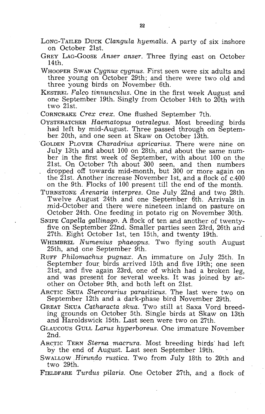- LONG-TAILED DUCK *Clangula hyemalis*. A party of six inshore on October 21st.
- GREY LAG-GOOSE *Anser anser.* Three flying east on October 14th.
- WHOOPER SWAN *Cygnus cygnus.* First seen were six adults and three young on October 29th; and there were two old and three young birds on November 6th.
- KESTREL Falco tinnunculus. One in the first week August and one September 19th. Singly from October 14th to 20th with two 21st.
- CORNCRAKE *Crex crex.* One flushed September 7th.
- OYSTERATCHER *Haematopus ostralegus*. Most breeding birds had left by mid-August. Three passed through on September. 20th, and one seen at Skaw on October 13th.
- "GOLDEN PLOVER *Charadrius apricarius.* There were nine on July 13th and about 100 on 28th, and about the same number in the first week of September, with about 100 on the 21st. On October 7th about 300 seen, and then numbers dropped off towards mid-month, but 300 or more again on the 21st. Another increase November 1st, and a flock of c.400 on the 9th. Flocks of 100 present till the end of the month.
- TURNSTONE *Arenaria interpres.* One July 22nd and two 28th. Twelve August 24th and one September 6th. Arrivals in mid-October and there were nineteen inland on pasture on October 24th. One feeding in potato rig on November 30th.
- SNIPE *Capella gallinago*. A flock of ten and another of twentyfive on September 22nd. Smaller parties seen 23rd, 26th and 27th. Eight October 1st, ten 15th, and twenty 19th.
- WHIMBREL *Numenius phaeopus*. Two flying south August 25th, and one September 9th.
- RUFF *Philomachus pugnax.* An immature on July 25th. In September four. birds arrived 15th and five 19th; one seen 21st, and five again 23rd, one of which had a broken leg, and was present for several weeks. It was joined by another on October 9th. and both left on 21st.
- ARCTIC SKUA *Stercorarius parasiticus.* The last were two on September 12th and a dark-phase bird November 29th.
- GREAT SKUA *Catharacta skua.* Two still at Saxa Vord breeding grounds on October 5th. Single birds at Skaw on 13th and Haroldswick 15th. Last seen were two on 27th.
- GLAUCOUS GULL *Larus hyperboreus.* One immature November 2nd.
- ARCTIC TERN *Sterna macrura.* Most breeding birds' had left by the end of August. Last seen September 19th.
- SWALLOW *Birundo rustica.* Two from July 18th to 20th and two 29th.
- FIELDFARE *Turdus pilaris.* One October 27th, and a flock of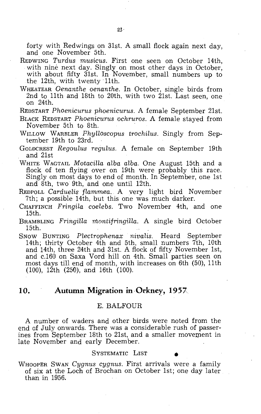forty with Redwings on 31st. A small flock again next day, and one November 5th.

- REDWING *Turdus musicus.* First one seen on October 14th, with nine next day. Singly on most other days in October, with about fifty 31st. In November, small numbers up to the 12th, with twenty 11th.
- WHEATEAR *Oenanthe oenanthe*. In October, single birds from 2nd to 11th and 18th to 20th, with two 21st. Last seen, one on  $24$ th.

REDSTART *Phoenicurus phoenicurus.* A female September 21st.

- BLACK REDSTART *Phoenicurus ochruros.* A female stayed from November 5th to 8th.
- WILLOW WARBLER *Fhylloscopus trochilus.* Singly from September 19th to 23rd.
- GOLDCREST *Regoulus regulus.* A female on September 19th and 21st
- WHITE WAGTAIL *Motacilla alba alba.* One August 15th and a flock of ten flying over on 19th were probably this race. Singly on most days to end of month. In September, one 1st and 8th, two 9th, and one until 12th.
- REDPOLL *Carduelis flammea.* A very light bird November 7th; a possible 14th, but this one was much darker.
- CHAFFINCH *Fringila coelebs.* Two November 4th, and one 15th.
- BRAMBLING *Fringilla montifringiUa.* A single bird October 15th.
- SNOW BUNTING *Plectrophenax nivalis.* Heard September 14th; thirty October 4th and 5th, small numbers 7th, 10th and 14th, three 24th and 31st. A flock of fifty November 1st, and c.160 on Saxa Vord hill on 4th. Small parties seen on most days till end of month, with increases on 6th (50), 11th (100), 12th (250), and 16th (100).

#### **10. Autumn Migration** in Orkney, **1957**

#### E. BALFOUR

A number of waders and other birds were noted from the end of July onwards. There was a considerable rush of passerines from September 18th to 21st, and a smaller movement in late November and early December.

#### SYSTEMATIC LIST

WHOOPER SWAN *Cygnus cygnus.* First arrivals were a family of six at the Loch of Brochan on October 1st; one day later than in 1956.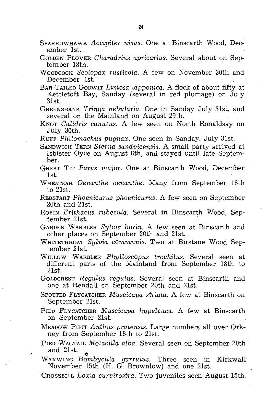- SPARROWHAWK *Accipiter nisus.* One at Binscarth Wood, December 1st.
- GOLDEN PLOVER *Charadrius apricarius*. Several about on September 18th.
- WOODCOCK *Scolopax rusticola.* A few on November 30th and December 1st.
- BAR-TAILED GODWIT *Limosa lapponica.* A flock of about fifty at Kettletoft Bay, Sanday (several in red plumage) on July 31st.
- GREENSHANK. *Tringa nebularia.* One in Sanday July 31st, and several on the Mainland on August 29th.
- KNOT *Calidris, canutus.* A few seen on North Ronaldsay on July 30th.
- RUFF *Philornachus pugnax.* One seen in Sanday, July 31st.
- SANDWICH TERN *Sterna sandvicensis.* A small party arrived at Isbister Oyce on August 8th, and stayed until late September.
- GREAT TIT *Pants major.* One at Binscarth Wood, December  $1$ st.
- WHEATEAR *Oenanthe oenanthe.* Many from September 18th to 21st.
- REDSTART *Phoenicurus phoenicurus.* A few seen on September 20th and 21st.
- ROBIN *Erithacus rubecula.* Several in Binscarth Wood, September 21st. '
- GARDEN WARBLER *Sylvia* borin. A few seen at Binscarth and other places on September 20th and 21st.
- WHITETHROAT *Sylvia communis.* Two at Birstane Wood September 21st.
- WILLOW WARBLER *Phylloscopus trochilus.* Several seen at different parts of the Mainland from September 18th to 21st.

GOLDCREST *Regulus regulus.* Several seen at Binscarth and one at Rendall on September 20th and 21st.

- SPOTTED FLYCATCHER *Muscicapa striata*. A few at Binscarth on September 21st.
- FlED FLYCATCHER *Muscicapa hypeleuca.* A few at Binscarth on September 21st.

MEADOW PIPIT *Anthus pratensis.* Large numbers all over Orkney from September 18th to 21st.

FIED WAGTAIL *Motacilla alba.* Several seen on September 20th and 21st.  $\bullet$  .  $\bullet$  .  $\bullet$  .  $\bullet$  .  $\bullet$  .  $\bullet$  .  $\bullet$  .  $\bullet$  .  $\bullet$  .  $\bullet$  .  $\bullet$  .  $\bullet$  .  $\bullet$  .  $\bullet$  .  $\bullet$  .  $\bullet$  .  $\bullet$  .  $\bullet$  .  $\bullet$  .  $\bullet$  .  $\bullet$  .  $\bullet$  .  $\bullet$  .  $\bullet$  .  $\bullet$  .  $\bullet$  .  $\bullet$  .  $\bullet$  .  $\bullet$  .  $\bullet$  .

WAXWING *Bombycilla garrulus.* Three seen in KirkwaU November 15th (H. G. Brownlow) and one 21st.

CROSSBILL *Loxia curvirostra.* Two juveniles seen August 15th.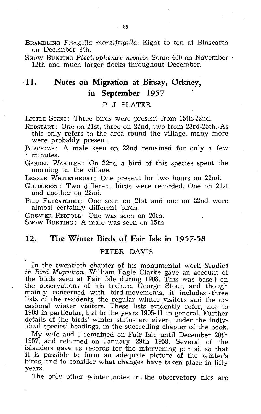BRAMBLING *Fringilla montifrigilla.* Eight to ten at Binscarth on December 8th.

SNOW BUNTING *Plectrophenax nivalis.* Some 400 on November 12th and much larger flocks throughout December.

## **11. Notes on Migration at Birsay, Orkney, In September** 1957

P. J. SLATER

LITTLE STINT: Three birds were present from 15th-22nd.

REDSTART: One on 21st; three on 22nd, two from 23rd-25th.As this only refers to the area round the village, many more were probably present.

BLACKCAP: A male seen on 22nd remained for only a few minutes.

GARDEN WARBLER: On 22nd a bird of this species spent the morning in the village.

LESSER WHITETHROAT: One present for two hours on 22nd.

GOLD CREST : Two different birds were recorded. One on 21st and another on 22nd.

PIED FLYCATCHER: One seen on 21st and one on 22nd were almost certainly different birds.

GREATER REDPOLL: One was seen on 20th.

SNOW BUNTING: A male was seen on 15th.

#### 12. The Winter Birds of Fair Isle in 1957-58

#### PETER DAVIS

In the twentieth chapter. of his monumental work *Studies in Bird Migration,* William Eagle Clarke gave an account of the birds seen at Fair Isle during 1908. This was based on the observations of his trainee, George Stout, and though mainly concerned with bird-movements, it includes three lists of the residents, the regular winter, visitors and the. occasional winter visitors. These lists evidently refer, not to 1908 in particular, but to the years 1905-11 in general. Further details of the birds' winter status are given. under the individual species' headings, in the succeeding chapter of the book.

My wife and I remained on Fair Isle until December 20th 1957, and returned on January 29th 1958. Several of the islanders gave us records for the intervening period, so that it is possible to form an adequate picture of the winter's birds, and to consider what changes have taken place in fifty years.

The only other winter notes in the observatory files are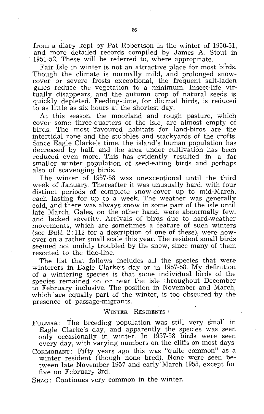from a diary kept by Pat Hobertson in the winter of 1950-51, and more detailed records compiled by James A. Stout in 1951-52. These will be referred to, where appropriate.

Fair Isle in winter is not an attractive place for most birds. Though the climate is normally mild, and prolonged snowcover or severe frosts exceptional, the frequent salt-laden gales reduce the vegetation to a minimum. Insect-life virtually disappears, and the autumn crop of natural seeds is quickly depleted. Feeding-time, for diurnal birds, is reduced to as little as six hours at the shortest day.

At this season, the moorland and rough pasture, which cover some three-quarters of the isle, are almost empty of birds. The most 'favoured habitats for land-birds are the intertidal zone and the stubbles and stackyards of the crofts. Since Eagle Clarke's time, the island's human population has decreased by half, and the area under cultivation has been reduced even more. This has evidently resulted in a far smaller winter population of seed-eating birds and perhaps also of scavenging birds.

The winter of 1957-58 was unexceptional until the third week of January, Thereafter it was unusually hard, with four distinct periods of complete snow-cover up to mid-March, each lasting for up to a week. The weather was generally cold, and there was always snow in some part of the isle until late March. Gales, on the other hand, were abnormally few, and lacked severity. Arrivals of birds due to hard-weather movements, which are sometimes a feature of such winters (see Bull. 2: 112 for a description of one of these), were however on a rather small scale this year. The resident small birds seemed not unduly troubled by the snow, since many of them resorted to the tide-line.

The list that follows includes all the species that were winterers in Eagle Clarke's day or in 1957-58. My definition of a wintering species is that some individual birds of the species remained on or near the isle throughout December to February inclusive. The position in November and March, which' are equally part of the winter, is too obscured by the presence of passage-migrants.

#### WINTER RESIDENTS

FULMAR: The breeding population was still very small in Eagle Clarke's day, and apparently the species was seen only occasionally in winter. In 1957-58 birds were seen every day, with varying numbers on the cliffs on most days,

CORMORANT: Fifty years ago this was "quite common" as a winter resident (though none bred), None were seen between late November 1957 and early March 1958, except for five on February 3rd.

SHAG: Continues very common in the winter.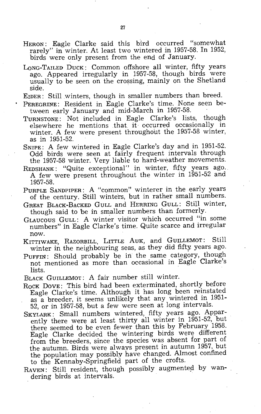- HERON: Eagle Clarke said this bird occurred "somewhat rarely" in winter. At least two wintered in 1957-58. In 1952, birds were only present from the end of January.
- LONG-TAILED DUCK: Common offshore all winter, fifty years ago. Appeared irregularly in 1957-58, though birds were usually to be seen on the crossing, mainly on the Shetland side. .
- EIDER: Still winters, though in smaller numbers than breed.
- . PEREGRINE: Resident in Eagle Clarke's time. None seen between early January and mid-March in 1957-58.
- TURNSTONE: Not included in Eagle Clarke's lists, though elsewhere he mentions that it occurred occasionally in winter. A few were present throughout the 1957-58 winter, as in 1951-52.
- SNIPE: A few wintered in Eagle Clarke's day and in 1951-52. Odd birds were seen at fairly frequent intervals through the 1957-58 winter. Very liable to hard-weather movements.
- REDSHANK: "Quite exceptional" in winter, fifty years ago..<br>A few were present throughout the winter in 1951-52 and 1957-58.
- PURPLE SANDPIPER: A "common" winterer in the early years of the century. Still winters, but in rather small numbers.
- GREAT BLACK-BACKED GULL and HERRING GULL: Still winter, though said to be in smaller numbers than formerly.
- GLAUCOUS GULL: A winter visitor which occurred "in some numbers" in Eagle Clarke's time. Quite scarce and irregular now.
- KITTIWAKE, RAZORBILL, LITTLE AUK, and GUILLEMOT: Still winter in the neighbouring seas, as they did fifty years ago.
- PUFFIN: Should probably be in the same category, though not mentioned as more than occasional in Eagle Clarke's lists.
- BLACK GUILLEMOT: A fair number still winter.
- ROCK DOVE: This bird had been exterminated, shortly before Eagle Clarke's time. Although it has long been reinstated as a breeder, it seems unlikely that any wintered in 1951- 52, or in 1957-58, but a few were seen at long intervals.
- SKYLARK: Small numbers wintered, fifty years ago. Apparently there were at least thirty all winter in 1951-52, but there seemed to be even fewer than this by February 1958. Eagle Clarke decided the wintering birds were different from the breeders, since the species was absent for part of the autumn. Birds were always present in autumn 1957, but the population may possibly have changed. Almost confined to the Kennaby-Springfield part of the crofts.
- RAVEN: Still resident, though possibly augmented by wan-. dering birds at intervals.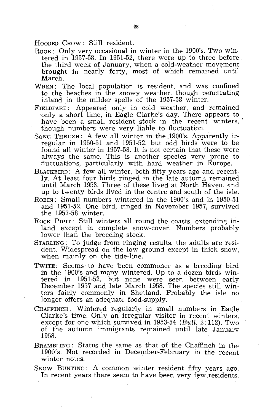HOODED CROW: Still resident.

- ROOK: Only very occasional in winter in the 1900's. Two wintered in 1957-58. In 1951-52, there were up to three before the third week of January, when a cold-weather movement brought in nearly forty, most of which remained until March.
- WREN: The local population is resident, and was confined to the beaches in the snowy weather, though penetrating inland in the milder spells of the 1957-58 winter.
- FIELDFARE: Appeared only in cold weather, and remained 'only a short time, in Eagle Clarke's day. There appears to have been a small resident stock in the recent winters, though numbers were very liable to fiuctuation.
- SONG THRUSH: A few all winter in the 1900's. Apparently irregular in 1950-51 and 1951-52, but odd birds were to be found all winter in 1957-58. It is not certain that these were always the same. This is another species very prone to fluctuations, particularly with hard weather in Europe.
- BLACKBIRD: A few all winter, both fifty years ago and recently. At least four birds ringed in the late autumn remained until March 1958. Three of these lived at North Haven, and up to twenty birds lived in the centre and south of the isle.
- ROBIN: Small numbers wintered in the 1900's and in 1950-51 and 1951-52. One bird, ringed in November 1957, survived the 1957-58 winter.
- ROCK PIPIT: Still winters all round the coasts, extending inland except in complete snow-cover. Numbers probably lower than the breeding stock.
- STARLING: To judge from ringing results, the adults are resident. Widespread on the low ground except in thick snow, when mainly on the tide-line.
- TWITE: Seems' to have 'been commoner as a breeding bird in the 1900's and many wintered. Up to a dozen birds wintered in 1951-52, hut none were seen between early December 1957 and late March 1958. The species still winters fairly commonly in Shetland. Probably the isle no longer offers an adequate food-supply. When the 1900's and many wintered. Up to a dozen birds win-<br>tered in 1951-52, but none were seen between early<br>December 1957 and late March 1958. The species still win-<br>ters fairly commonly in Shetland. Probably the isle n
- CHAFFINCH: Wintered regularly in small numbers in Eagle Clarke's time. Only an irregular visitor in recent winters. except for one which survived in 1953-54 (Bull. 2: 112). Two of the autumn immigrants remained until late Januarv<br>1958.
- BRAMBLING: Status the same as that of the Chaffinch in the 1900's. Not recorded in December-February in the recent winter notes.
- SNOW BUNTING: A common winter resident fifty years ago. In recent years there seem to have been very few residents,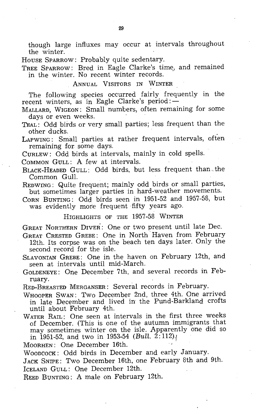though large influxes may occur at intervals throughout the winter.

HOUSE SPARROW: Probably quite sedentary.

TREE SPARROW: Bred in Eagle Clarke's time, and remained in the winter. No recent winter records.

#### ANNUAL VISITORS IN WINTER

The following species occurred fairly frequently in the recent winters, as in Eagle Clarke's period: $-$ 

MALLARD, WIGEON: Small numbers, often remaining for some days or even weeks.

- TEAL: Odd birds or very small parties; less frequent than the other ducks.
- LAPWING: Small parties at rather frequent intervals, often remaining for some days.

CURLEW: Odd birds at intervals, mainly in cold spells.

COMMON GULL: A few at intervals.

- BLACK-HEADED GULL: Odd birds, but less frequent than the Common Gull.
- REDWING: Quite frequent; mainly odd birds or small parties, but sometimes larger parties in hard-weather movements.
- CORN BUNTING: Odd birds seen in 1951-52 and 1957-58, but was evidently more frequent fifty years ago.

HIGHLIGHTS OF THE 1957-58 WINTER

GREAT NORTHERN DIVER: One or two present until late Dec.

- GREAT CRESTED GREBE: One in North' Haven from February 12th. Its corpse was on the beach ten days later. Only the second record for the isle.
- SLAVONIAN GREBE: One in the haven on February 12th, and seen at intervals until mid-March.
- GOLDENEYE: One December 7th, and several records in February.

RED-BREASTED MERGANSER: Several records in February.

- WHOOPER SWAN: Two December 2nd, three 4th. One arrived in late December and lived in the Pund-Barkland crofts until about February 4th.
- WATER RAIL: One seen at intervals in the first three weeks of December. (This is one of the autumn immigrants that may sometimes winter on the isle. Apparently one did so in 1951-52, and two in 1953-54  $(Bull. 2:112)$ .

MOORHEN: One December 16th.

WOODCOCK: Odd birds in December and early January.

JACK SNIPE: Two December 16th, one February 8th and 9th. ICELAND GULL: One December 12th.

REED BUNTING: A male on February 12th.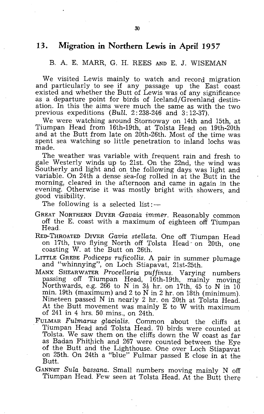#### **13. Migration in Northern Lewis in April 1957**

#### B. A. E. MARR, G. H. REES AND E. J. WISEMAN

We visited Lewis mainly to watch and record migration and particularly to see if any passage up the East coast existed and whether the Butt of Lewis was of any significance as a departure point for birds of Iceland/Greenland destination. In this the aims were much the same as with the two previous expeditions *(Bull.* 2: 238-246 and 3: 12-37).

We were watching around Stornoway on 14th and 15th, at Tiumpan Head from 16th-19th, at Tolsta Head on 19th-20th and at the Butt from late on 20th-26th. Most of the time was spent sea watching so little penetration to inland lochs was made.

The weather was variable with frequent rain and fresh to gale Westerly winds up to 21st. On the 22nd, the wind was Southerly and light and on the following days was light and variable. On 24th a dense sea-fog rolled in at the Butt in the morning, cleared in the afternoon and came in again .in the evening. Otherwise it was mostly bright with showers, and good visibility.

The following is a selected list:

- GREAT NORTHERN DIVER Gavaia immer. Reasonably common off the E. coast with a maximum of eighteen off Tiumpan Head,
- RED-THROATED DIVER *Gavia stellata.* One off Tiumpan Head on 17th, two flying North off Tolsta Head on 20th, one coasting W. at the Butt on 26th.
- LITTLE GREBE *Podiceps ruficollis.* A pair in summer plumage and "whinnying", on Loch Stiapavat, 21st-25th.
- MANX SHEARWATER *ProceHaria puffinus.* Varying numbers passing off Tiumpan Head, 16th-19th, mainly moving Northwards, e.g. 266 to N in  $3\frac{1}{2}$  hr. on 17th, 45 to N in 10 min. 19th (maximum) and 2 to N in 2 hr. on 18th (minimum). Nineteen passed N in nearly 2 hr. on 20th at Tolsta Head. At the Butt movement was mainly E to W with maximum of 241 in 4 hrs. 50 mins., on 24th.
- FULMAR *Fulmarus glacialis.* Common about the cliffs at Tiumpan Head and Tolsta Head. 70 birds were counted at Tolsta. We saw them on the cliffs down the W coast as far as Badan Fhitpich and 267 were counted between the Eye of the Butt and the Lighthouse. One over Loch Stiapavat on 25th. On 24th a "blue" Fulmar passed E close in at the Butt.
- GANNET *Sula bassana.* Small numbers moving mainly N off Tiumpan Head. Few seen at Tolsta Head. At the Butt there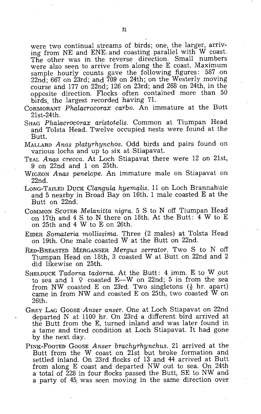were two continual streams of birds; one, the larger, arriving from NE and ENE, and coasting parallel with W coast. The other was in the reverse direction. Small numbers were also seen to arrive from along the E coast. Maximum sample hourly counts gave the following figures: 587 on 22nd; 667 on 23rd; and 709 on 24th; on the Westerly moving course and 177 on 22nd; 126 on 23rd; and 268 on 24th, in the opposite direction. Flocks often contained more than 50 birds, the largest recorded having 7l.

- CORMORANT *Phalacrocorax carbo.* An immature at the Butt 21st-24th.
- SHAG Phalacrocorax aristotelis. Common at Tiumpan Head and Tolsta Head. Twelve occupied nests were found at the Butt.
- MALLARD *Anas platurhynchos.* Odd birds and pairs found on various lochs and up to six at Stiapavat.
- TEAL *Anas crecca.* At Loch Stiapavat there were 12 on 21st, 9 on 22nd and 1 on 25th.
- WIGEON *Anas peneLope.* An immature male on Stiapavat on 22nd.
- -LoNG-TAILED DUCK *CLangula hyemalis.* 11 on Loch Brannahuie and 5 nearby in Broad Bay on 16th. 1 male coasted  $E$  at the Butt on 22nd.
- COMMON SCOTER *Melanitta nigra.* 5 S to N off Tiumpan Head on 17th and 4 S to N there on 18th; At the Butt: 4 W to E on 25th and 4 W to E on 26th.
- EIDER *Somateria mollissima.* Three (2 males) at Tolsta Head on 19th. One male coasted W at the Butt on 22nd.
- RED-BREASTED MERGANSER *Mergus serrator.* Two S to N off Tiumpan Head on 18th, 3 coasted W at Butt on 22nd and 2 did likewise on 25th.
- SHELDUCK *Tadorna tadorna.* At the Butt: 4 imm. E to W out to sea and  $1 \circ$  coasted E-W on 22nd; 5 in from the sea from NW coasted E on 23rd. Two singletons  $(\frac{1}{2}$  hr. apart) came in from NW and coasted E on 25th, two coasted  $\bar{W}$  on 26th.
- GREY LAG *GoosE·Anser anser.* One at Loch Stiapavat on 22nd departed  $N$  at 1100 hr. On 23rd a different bird arrived at the Butt from the E, turned inland and was later found in a tame and tired condition at Loch Stiapavat. It had gone by the next day.
- PINK-FoOTED GOOSE *Anser brachyrhynchus.* 21 arrived at the Butt from the W coast on 21st but broke formation and settled inland. On 23rd flocks of 13 and 44 arrived at Butt from along E coast and departed. NW out to sea. On 24th a total of 228 in four flocks passed the Butt, SE to NW and a party of 45, was seen moving in the same direction over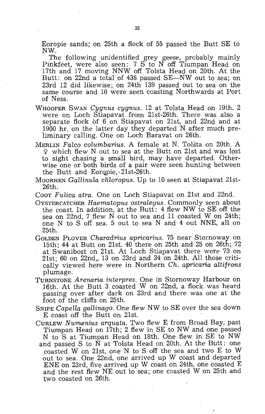Eoropie sands; on 25th a flock of 55 passed the Butt SE to NW.

The following unidentified grey geese, probably mainly Pinkfeet, were also seen: 7 S to N off Tiumpan Head on 17th and 17 moving NNW off Tolsta Head on 20th. At the Butt: on 22nd a total of 438 passed  $SE-NW$  out to sea; on 23rd 12 did likewise; on 24th 139 passed out to sea on the same course and 10 were seen coasting Northwards at Port of Ness.

- WHOOPER SWAN *Cygnus cygnus.* 12 at Tolsta Head on 19th. 2 were on Loch Stiapavat from 21st-26th. There was also a separate flock of  $6$  on Stiapavat on 21st, and 22nd and at 1900 hr. on the latter day they departed N after much preliminary calling. One on Loch Baravat on 26th.
- MERLIN *Fateo columbarius.* A female at N. Tolsta on 20th. A <j? which flew N out to sea at the Butt on 21st and was lost to sight chasing a small bird, may have departed. Otherwise one or both birds of a pair were seen hunting between the Butt and Eoropie, 21st-26th.
- MOORHEN *Gallinula cliloropus.* Up to 10 seen at Stiapavat 21si-26th.
- COOT *Fulica atra.* One on Loch Stiapavat on 21st and 22nd.
- OYSTERCATCHER *Haematopus ostralegus.* Commonly seen about the coast. In addition, at the Butt:  $4$  flew NW to SE off the sea on 22nd, 7.flew N out to sea and 11 coasted W on 24th; one N to S off sea. 5 out to sea Nand 4 out NNE, all on 25th.
- GOLDEN PLOVER *Charadrius apricarius.* 75 near Stornoway on 15th; 44 at Butt on 21st. 40 there on 25th and 25 on 26th; 72 at Swanibost on 21st. At Loch Stiapavat there were 73 on  $21st$ ; 60 on  $22nd$ , 13 on  $23rd$  and 34 on  $24th$ . All those critically viewed here were in Northern *Ch. apricaria altifrons*  plumage.
- TURNSTONE *Arenaria interpres.* One in Stornoway Harbour on 16th. At the Butt 3 coasted W on 22nd, a flock was heard passing over after dark on 23rd and there was one at the foot of the cliffs on 25th.
- SNIPE *Capella gallinago.* One flew NW to SE over the sea down E coast off the Butt on 21st.
- CURLEW *Numenius arquata.* Two flew E from Broad Bay, past Tiumpan Head on 17th; 2 flew in SE to NW and one passed N to S at Tiumpan Head on 18th. One flew in SE to NW and passed S to N at Tolsta Head on. 20th. At the Butt: one coasted W on 21st, one' N to S off the sea and two E to W out to sea. One 22nd, one arrived up W coast and departed ENE on 23rd, five arrived up W coast on 24th, one coasted E and the rest flew NE out to sea; one coasted W on 25th and two coasted on 26th.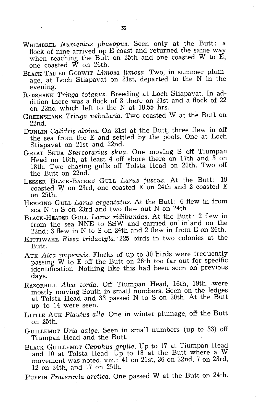- WHIMBREL *Numenius phaeopus.* Seen only at the Butt: a flock of nine arrived up E coast and returned the same way when reaching the Butt on 25th and one coasted  $\overline{W}$  to  $\overline{E}$ ; one coasted W on 26th.
- BLACK-TAILED GODWIT *Limosa limosa.* Two, in summer plumage, at Loch Stiapavat on 21st, departed to the N in the evening.
- REDSHANK *Tringa totanus.* Breeding at Loch Stiapavat. In addition there was a flock of 3 there on 21st and a flock of 22 on 22nd which left to the N at 18.55 hrs.
- GREENSHANK *Tringa nebularia.* Two coasted W at the Butt on 22nd.
- DUNLIN *Calidris alpina*. On 21st at the Butt, three flew in off the sea from the E and settled by the pools. One at Loch Stiapavat on 21st and 22nd.
- GREAT SKUA *Stercorarius skua.* One moving S off Tiumpan Head on 16th, at least 4 off shore there on 17th and 3 on 18th. Two chasing gulls off Tolsta Head on 20th. Two off the Butt on 22nd.
- LESSER BLACK-BACKED GULL *Larus fuscus.* At the Butt: 19 coasted Won' 23rd, one coasted E on 24th and 2 coasted E on 25th.
- HERRING GULL *Larus argentatus*. At the Butt: 6 flew in from sea N to S on 23rd and two flew out N on 24th.
- BLACK-HEADED GULL *Larus ridibundas.* At the Butt: 2 flew in from the sea NNE to SSW and carried on inland on the 22nd; 3 flew in N to S on 24th and 2 flew in from E on 26th.
- KITTIWAKE *Rissa tridactyla.'* 225 birds in two colonies at the Butt.
- AUK *Alca impennis*. Flocks of up to 30 birds were frequently passing W to E off the Butt on 26th too far out for specific identification. Nothing like this had been seen on previous days.
- RAZORBILL *Alca torda.* Off Tiumpan Head, 16th, 19th, were mostly moving South in small numbers. Seen on the ledges at Tolsta Head and 33 passed N to S on 20th. At the Butt up to 14 were seen.
- LITTLE AUK *Plautus alle.* One in winter plumage, off the Butt on 25th.
- GUILLEMOT *Dria aalge.* Seen in small numbers (up to 33) off Tiumpan Head and the Butt.
- BLACK GUILLEMOT *Cepphus grylle.* Up to 17 at Tiumpan Head and 10 at Tolsta Head. Up to 18 at the Butt where a W movement was noted, viz.: 41 on 21st, 36 on 22nd, 7 on 23rd, 12 on 24th, and 17 on 25th.
- PUFFIN *Fratercula arctica.* One passed W at the Butt on 24th.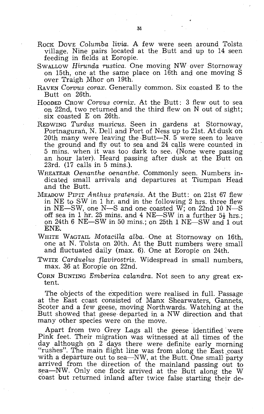- ROCK DOVE *Columba livia*. A few were seen around Tolsta village. Nine pairs located at the Butt and up to 14 seen feeding in fields at Eoropie.
- SWALLOW *Hirunda rustica.* One moving NW over Stornoway on 15th, one at the same place on 16th and one moving S over Traigh Mhor on 19th.
- RAVEN *Corvus corax.* Generally common. Six coasted E to the Butt on 26th.
- HOODED CROW Corvus cornix. At the Butt: 3 flew out to sea on 22nd, two returned and the third flew on N out of sight; six coasted E on 26th.
- REDWING *Turdus musicus.* Seen in gardens at Stornoway, Portnaguran, N. Dell and Port of Ness up to 21st. At dusk on 20th many were leaving the Butt-N.  $5$  were seen to leave the ground and fly out to sea and 24 calls were counted in 5 mins. when it was too dark to see. (None were passing an hour later). Heard passing after dusk at the Butt on 23rd. (17 calls in 5 mins.).
- WHEATEAR *Oenanthe oenanthe.* Commonly seen. Numbers indicated small arrivals and departures at Tiumpan Head and the Butt.
- MEADOW PIPIT *Anthus pratensis.* At the Butt: on 21st 67 flew in NE to SW in 1 hr. and in the following 2 hrs. three flew in NE-SW, one N-S and one coasted W; on 22nd 10 N-S off sea in 1 hr. 25 mins. and 4 NE-SW in a further  $5\frac{1}{2}$  hrs.; on 24th 6 NE-SW in 50 mins.; on 25th 1 NE-SW and 1 out ENE.
- WHITE WAGTAIL *MotaciHa alba.* One at Stornoway on 16th, one at N. Tolsta on 20th. At the Butt numbers were small and fluctuated daily (max. 6). One at Eoropie on 24th.
- TWITE *Carduelus flavirostris.* Widespread in small numbers, max. S6 at Eoropie on 22nd.
- CORN BUNTING *Emberiza calandra.* Not seen to any great extent.

The objects of the expedition were realised in full. Passage at the East coast consisted of Manx Shearwaters, Gannets, Scoter and a few geese, moving Northwards. Watching at the Butt showed that geese departed in a NW direction and that many other species were on the move.

Apart from two Grey Lags all the geese identified were Pink feet. Their migration was witnessed at all times of the day although on 2 days there were definite early morning "rushes". The main flight line was from along the East coast with a departure out to sea—NW, at the Butt. One small party arrived from the direction of the mainland passing out to sea-NW. Only one flock arrived at the Butt along the W coast but returned inland after twice false starting their de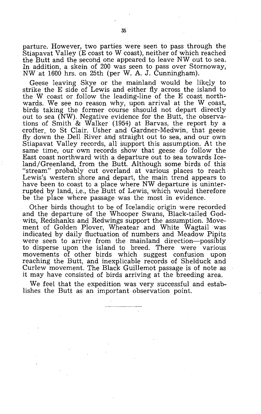parture. However, two parties were seen to pass through the Stiapavat Valley (E coast to W coast), neither of which reached the Butt and the second one appeared to leave NW out to sea. In addition, a skein of 200 was seen to pass over Stornoway, NW at 1600 hrs. on 25th (per W. A. J. Cunningham).

Geese leaving Skye or the mainland would be likely to strike the E side of Lewis and either fly across the island to the W coast or follow the leading-line of the E coast northwards. We see no reason why, upon arrival at the W coast, birds taking the former course shsould not depart directly out to sea (NW). Negative evidence for the Butt, the observations of Smith & Walker (1954) at Barvas, the report by a crofter, to St Clair, Usher and Gardner-Medwin, that geese fly down the Dell River and straight out to sea, and our own Stiapavat Valley records, all support this assumption. At the same time, our own records show that geese do follow the East coast northward with a departure out to sea towards Iceland/Greenland, from the Butt. Although some birds of this "stream" probably cut overland at various places to reach Lewis's western shore and depart, the main trend appears to have been to coast to a place where NW departure is uninterrupted by land, i,e., the Butt of Lewis, which would therefore be the place where passage was the most in evidence.

Other birds thought to be of Icelandic origin were recorded and the departure of the Whooper Swans, Black-tailed Godwits, Redshanks and Redwings support the assumption. Movement of Golden Plover, Wheatear and White Wagtail was indicated by daily fluctuation of numbers and Meadow Pipits were seen to arrive from the mainland direction—possibly to disperse upon the island to breed. There were various movements of other birds which suggest confusion upon reaching the Butt, and inexplicable records of Shelduck and Curlew movement. The Black Guillemot passage is of note as it may have consisted of birds arriving at the breeding area.

We feel that the expedition was very successful and establishes the Butt as an important observation point.